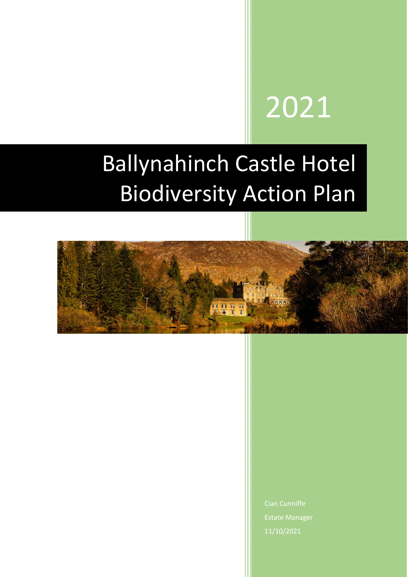# 2021

# Ballynahinch Castle Hotel Biodiversity Action Plan



Estate Manager 11/10/2021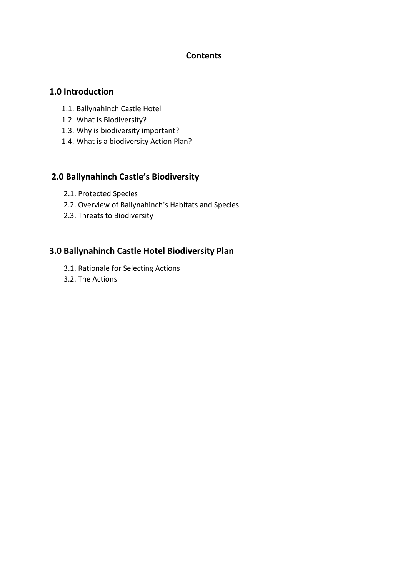#### **Contents**

#### **1.0 Introduction**

- 1.1. Ballynahinch Castle Hotel
- 1.2. What is Biodiversity?
- 1.3. Why is biodiversity important?
- 1.4. What is a biodiversity Action Plan?

#### **2.0 Ballynahinch Castle's Biodiversity**

- 2.1. Protected Species
- 2.2. Overview of Ballynahinch's Habitats and Species
- 2.3. Threats to Biodiversity

#### **3.0 Ballynahinch Castle Hotel Biodiversity Plan**

- 3.1. Rationale for Selecting Actions
- 3.2. The Actions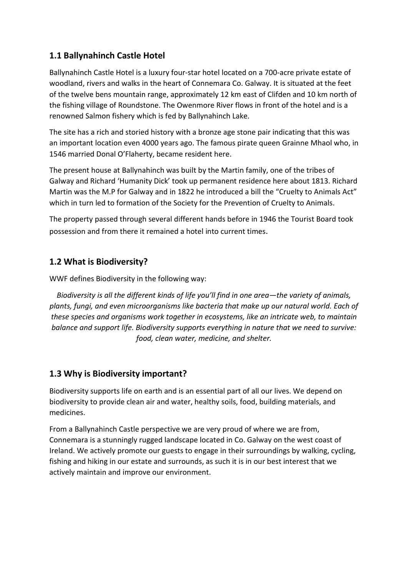## **1.1 Ballynahinch Castle Hotel**

Ballynahinch Castle Hotel is a luxury four-star hotel located on a 700-acre private estate of woodland, rivers and walks in the heart of Connemara Co. Galway. It is situated at the feet of the twelve bens mountain range, approximately 12 km east of Clifden and 10 km north of the fishing village of Roundstone. The Owenmore River flows in front of the hotel and is a renowned Salmon fishery which is fed by Ballynahinch Lake.

The site has a rich and storied history with a bronze age stone pair indicating that this was an important location even 4000 years ago. The famous pirate queen Grainne Mhaol who, in 1546 married Donal O'Flaherty, became resident here.

The present house at Ballynahinch was built by the Martin family, one of the tribes of Galway and Richard 'Humanity Dick' took up permanent residence here about 1813. Richard Martin was the M.P for Galway and in 1822 he introduced a bill the "Cruelty to Animals Act" which in turn led to formation of the Society for the Prevention of Cruelty to Animals.

The property passed through several different hands before in 1946 the Tourist Board took possession and from there it remained a hotel into current times.

#### **1.2 What is Biodiversity?**

WWF defines Biodiversity in the following way:

*Biodiversity is all the different kinds of life you'll find in one area—the variety of animals, plants, fungi, and even microorganisms like bacteria that make up our natural world. Each of these species and organisms work together in ecosystems, like an intricate web, to maintain balance and support life. Biodiversity supports everything in nature that we need to survive: food, clean water, medicine, and shelter.*

#### **1.3 Why is Biodiversity important?**

Biodiversity supports life on earth and is an essential part of all our lives. We depend on biodiversity to provide clean air and water, healthy soils, food, building materials, and medicines.

From a Ballynahinch Castle perspective we are very proud of where we are from, Connemara is a stunningly rugged landscape located in Co. Galway on the west coast of Ireland. We actively promote our guests to engage in their surroundings by walking, cycling, fishing and hiking in our estate and surrounds, as such it is in our best interest that we actively maintain and improve our environment.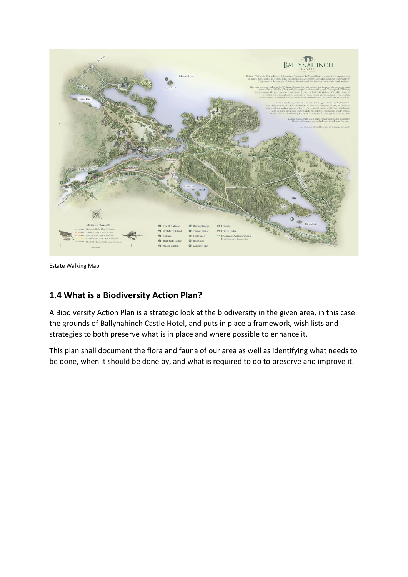

Estate Walking Map

#### **1.4 What is a Biodiversity Action Plan?**

A Biodiversity Action Plan is a strategic look at the biodiversity in the given area, in this case the grounds of Ballynahinch Castle Hotel, and puts in place a framework, wish lists and strategies to both preserve what is in place and where possible to enhance it.

This plan shall document the flora and fauna of our area as well as identifying what needs to be done, when it should be done by, and what is required to do to preserve and improve it.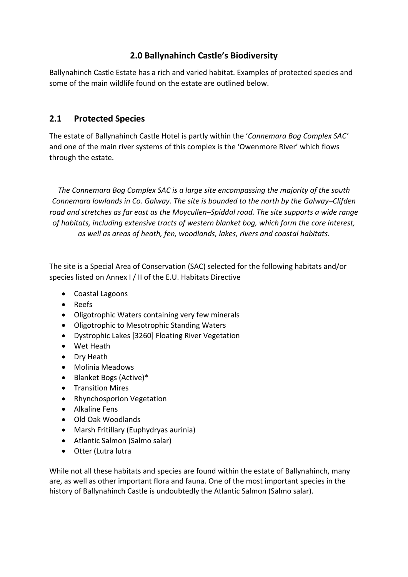#### **2.0 Ballynahinch Castle's Biodiversity**

Ballynahinch Castle Estate has a rich and varied habitat. Examples of protected species and some of the main wildlife found on the estate are outlined below.

#### **2.1 Protected Species**

The estate of Ballynahinch Castle Hotel is partly within the '*Connemara Bog Complex SAC'* and one of the main river systems of this complex is the 'Owenmore River' which flows through the estate.

*The Connemara Bog Complex SAC is a large site encompassing the majority of the south Connemara lowlands in Co. Galway. The site is bounded to the north by the Galway–Clifden road and stretches as far east as the Moycullen–Spiddal road. The site supports a wide range of habitats, including extensive tracts of western blanket bog, which form the core interest, as well as areas of heath, fen, woodlands, lakes, rivers and coastal habitats.*

The site is a Special Area of Conservation (SAC) selected for the following habitats and/or species listed on Annex I / II of the E.U. Habitats Directive

- Coastal Lagoons
- Reefs
- Oligotrophic Waters containing very few minerals
- Oligotrophic to Mesotrophic Standing Waters
- Dystrophic Lakes [3260] Floating River Vegetation
- Wet Heath
- Dry Heath
- Molinia Meadows
- Blanket Bogs (Active)\*
- Transition Mires
- Rhynchosporion Vegetation
- Alkaline Fens
- Old Oak Woodlands
- Marsh Fritillary (Euphydryas aurinia)
- Atlantic Salmon (Salmo salar)
- Otter (Lutra lutra

While not all these habitats and species are found within the estate of Ballynahinch, many are, as well as other important flora and fauna. One of the most important species in the history of Ballynahinch Castle is undoubtedly the Atlantic Salmon (Salmo salar).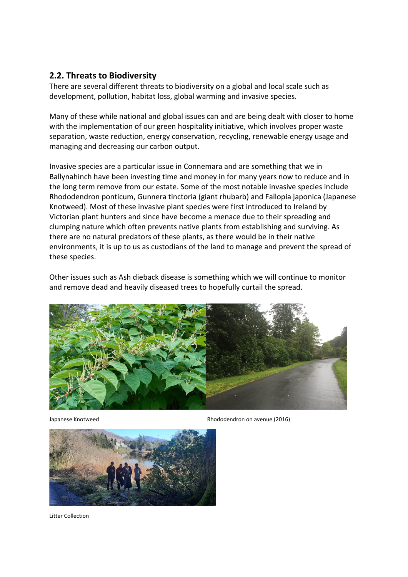#### **2.2. Threats to Biodiversity**

There are several different threats to biodiversity on a global and local scale such as development, pollution, habitat loss, global warming and invasive species.

Many of these while national and global issues can and are being dealt with closer to home with the implementation of our green hospitality initiative, which involves proper waste separation, waste reduction, energy conservation, recycling, renewable energy usage and managing and decreasing our carbon output.

Invasive species are a particular issue in Connemara and are something that we in Ballynahinch have been investing time and money in for many years now to reduce and in the long term remove from our estate. Some of the most notable invasive species include Rhododendron ponticum, Gunnera tinctoria (giant rhubarb) and Fallopia japonica (Japanese Knotweed). Most of these invasive plant species were first introduced to Ireland by Victorian plant hunters and since have become a menace due to their spreading and clumping nature which often prevents native plants from establishing and surviving. As there are no natural predators of these plants, as there would be in their native environments, it is up to us as custodians of the land to manage and prevent the spread of these species.

Other issues such as Ash dieback disease is something which we will continue to monitor and remove dead and heavily diseased trees to hopefully curtail the spread.



Japanese Knotweed Rhododendron on avenue (2016)



Litter Collection